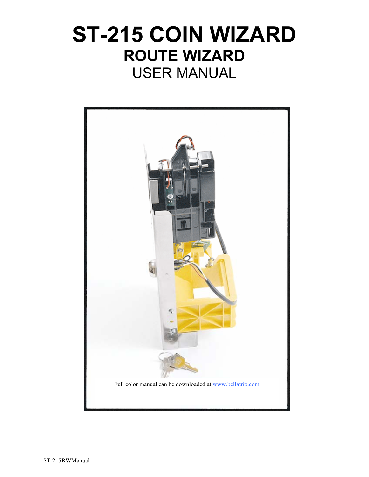# **ST-215 COIN WIZARD ROUTE WIZARD**  USER MANUAL

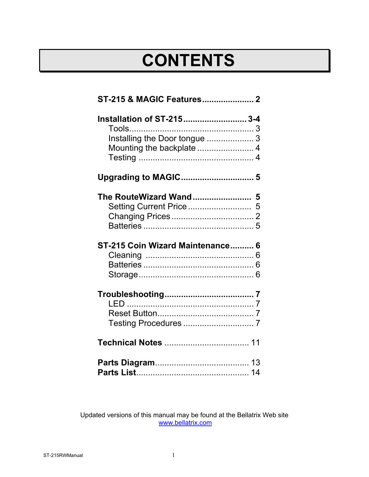# **CONTENTS**

| Installation of ST-215 3-4       |  |
|----------------------------------|--|
|                                  |  |
| Installing the Door tongue  3    |  |
|                                  |  |
|                                  |  |
|                                  |  |
|                                  |  |
|                                  |  |
|                                  |  |
|                                  |  |
| ST-215 Coin Wizard Maintenance 6 |  |
|                                  |  |
|                                  |  |
|                                  |  |
|                                  |  |
|                                  |  |
|                                  |  |
|                                  |  |
| <b>Technical Notes  11</b>       |  |
|                                  |  |
|                                  |  |

Updated versions of this manual may be found at the Bellatrix Web site www.bellatrix.com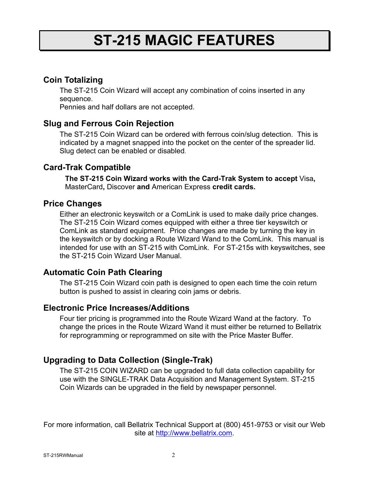### **ST-215 MAGIC FEATURES**

### **Coin Totalizing**

The ST-215 Coin Wizard will accept any combination of coins inserted in any sequence.

Pennies and half dollars are not accepted.

### **Slug and Ferrous Coin Rejection**

The ST-215 Coin Wizard can be ordered with ferrous coin/slug detection. This is indicated by a magnet snapped into the pocket on the center of the spreader lid. Slug detect can be enabled or disabled.

#### **Card-Trak Compatible**

**The ST-215 Coin Wizard works with the Card-Trak System to accept** Visa**,**  MasterCard**,** Discover **and** American Express **credit cards.**

#### **Price Changes**

Either an electronic keyswitch or a ComLink is used to make daily price changes. The ST-215 Coin Wizard comes equipped with either a three tier keyswitch or ComLink as standard equipment. Price changes are made by turning the key in the keyswitch or by docking a Route Wizard Wand to the ComLink. This manual is intended for use with an ST-215 with ComLink. For ST-215s with keyswitches, see the ST-215 Coin Wizard User Manual.

### **Automatic Coin Path Clearing**

The ST-215 Coin Wizard coin path is designed to open each time the coin return button is pushed to assist in clearing coin jams or debris.

#### **Electronic Price Increases/Additions**

Four tier pricing is programmed into the Route Wizard Wand at the factory. To change the prices in the Route Wizard Wand it must either be returned to Bellatrix for reprogramming or reprogrammed on site with the Price Master Buffer.

### **Upgrading to Data Collection (Single-Trak)**

The ST-215 COIN WIZARD can be upgraded to full data collection capability for use with the SINGLE-TRAK Data Acquisition and Management System. ST-215 Coin Wizards can be upgraded in the field by newspaper personnel.

For more information, call Bellatrix Technical Support at (800) 451-9753 or visit our Web site at http://www.bellatrix.com.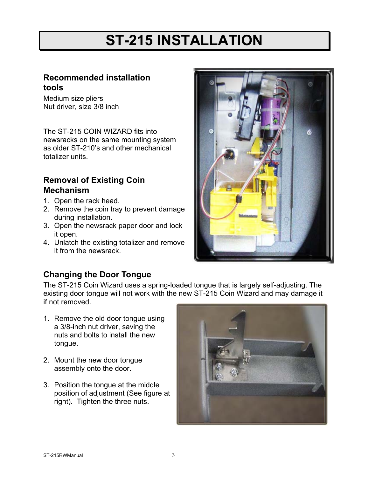# **ST-215 INSTALLATION**

### **Recommended installation tools**

Medium size pliers Nut driver, size 3/8 inch

The ST-215 COIN WIZARD fits into newsracks on the same mounting system as older ST-210's and other mechanical totalizer units.

### **Removal of Existing Coin Mechanism**

- 1. Open the rack head.
- 2. Remove the coin tray to prevent damage during installation.
- 3. Open the newsrack paper door and lock it open.
- 4. Unlatch the existing totalizer and remove it from the newsrack.



### **Changing the Door Tongue**

The ST-215 Coin Wizard uses a spring-loaded tongue that is largely self-adjusting. The existing door tongue will not work with the new ST-215 Coin Wizard and may damage it if not removed.

- 1. Remove the old door tongue using a 3/8-inch nut driver, saving the nuts and bolts to install the new tongue.
- 2. Mount the new door tongue assembly onto the door.
- 3. Position the tongue at the middle position of adjustment (See figure at right). Tighten the three nuts.

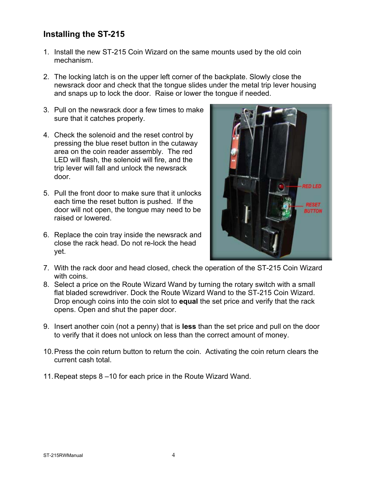### **Installing the ST-215**

- 1. Install the new ST-215 Coin Wizard on the same mounts used by the old coin mechanism.
- 2. The locking latch is on the upper left corner of the backplate. Slowly close the newsrack door and check that the tongue slides under the metal trip lever housing and snaps up to lock the door. Raise or lower the tongue if needed.
- 3. Pull on the newsrack door a few times to make sure that it catches properly.
- 4. Check the solenoid and the reset control by pressing the blue reset button in the cutaway area on the coin reader assembly. The red LED will flash, the solenoid will fire, and the trip lever will fall and unlock the newsrack door.
- 5. Pull the front door to make sure that it unlocks each time the reset button is pushed. If the door will not open, the tongue may need to be raised or lowered.
- 6. Replace the coin tray inside the newsrack and close the rack head. Do not re-lock the head yet.



- 7. With the rack door and head closed, check the operation of the ST-215 Coin Wizard with coins.
- 8. Select a price on the Route Wizard Wand by turning the rotary switch with a small flat bladed screwdriver. Dock the Route Wizard Wand to the ST-215 Coin Wizard. Drop enough coins into the coin slot to **equal** the set price and verify that the rack opens. Open and shut the paper door.
- 9. Insert another coin (not a penny) that is **less** than the set price and pull on the door to verify that it does not unlock on less than the correct amount of money.
- 10. Press the coin return button to return the coin. Activating the coin return clears the current cash total.
- 11. Repeat steps 8 –10 for each price in the Route Wizard Wand.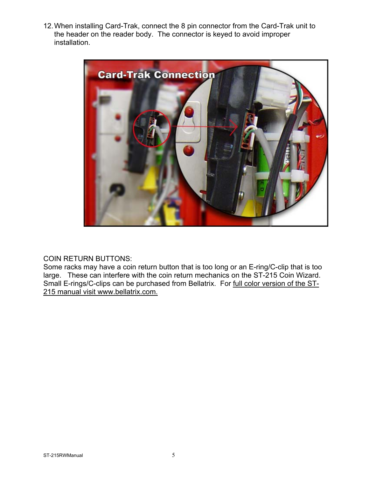12. When installing Card-Trak, connect the 8 pin connector from the Card-Trak unit to the header on the reader body. The connector is keyed to avoid improper installation.



#### COIN RETURN BUTTONS:

Some racks may have a coin return button that is too long or an E-ring/C-clip that is too large. These can interfere with the coin return mechanics on the ST-215 Coin Wizard. Small E-rings/C-clips can be purchased from Bellatrix. For full color version of the ST-215 manual visit www.bellatrix.com.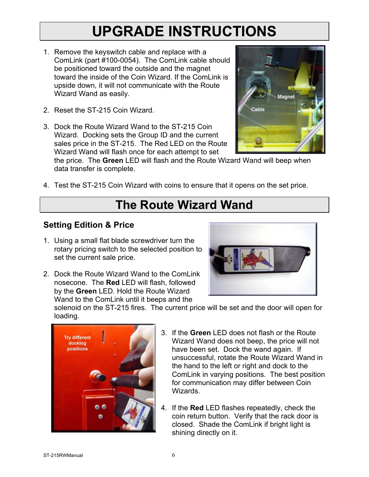## **UPGRADE INSTRUCTIONS**

- 1. Remove the keyswitch cable and replace with a ComLink (part #100-0054). The ComLink cable should be positioned toward the outside and the magnet toward the inside of the Coin Wizard. If the ComLink is upside down, it will not communicate with the Route Wizard Wand as easily.
- 2. Reset the ST-215 Coin Wizard.
- 3. Dock the Route Wizard Wand to the ST-215 Coin Wizard. Docking sets the Group ID and the current sales price in the ST-215. The Red LED on the Route Wizard Wand will flash once for each attempt to set



the price. The **Green** LED will flash and the Route Wizard Wand will beep when data transfer is complete.

4. Test the ST-215 Coin Wizard with coins to ensure that it opens on the set price.

### **The Route Wizard Wand**

### **Setting Edition & Price**

- 1. Using a small flat blade screwdriver turn the rotary pricing switch to the selected position to set the current sale price.
- 2. Dock the Route Wizard Wand to the ComLink nosecone. The **Red** LED will flash, followed by the **Green** LED. Hold the Route Wizard Wand to the ComLink until it beeps and the



solenoid on the ST-215 fires. The current price will be set and the door will open for loading.



- 3. If the **Green** LED does not flash or the Route Wizard Wand does not beep, the price will not have been set. Dock the wand again. If unsuccessful, rotate the Route Wizard Wand in the hand to the left or right and dock to the ComLink in varying positions. The best position for communication may differ between Coin Wizards.
- 4. If the **Red** LED flashes repeatedly, check the coin return button. Verify that the rack door is closed. Shade the ComLink if bright light is shining directly on it.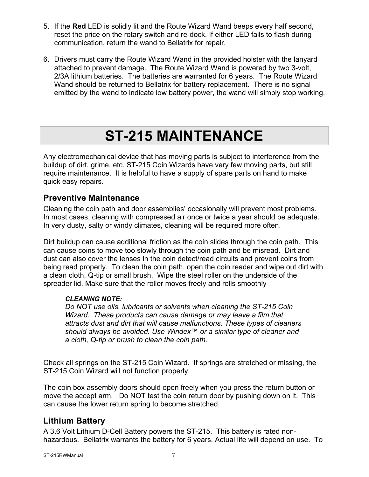- 5. If the **Red** LED is solidly lit and the Route Wizard Wand beeps every half second, reset the price on the rotary switch and re-dock. If either LED fails to flash during communication, return the wand to Bellatrix for repair.
- 6. Drivers must carry the Route Wizard Wand in the provided holster with the lanyard attached to prevent damage. The Route Wizard Wand is powered by two 3-volt, 2/3A lithium batteries. The batteries are warranted for 6 years. The Route Wizard Wand should be returned to Bellatrix for battery replacement. There is no signal emitted by the wand to indicate low battery power, the wand will simply stop working.

## **ST-215 MAINTENANCE**

Any electromechanical device that has moving parts is subject to interference from the buildup of dirt, grime, etc. ST-215 Coin Wizards have very few moving parts, but still require maintenance. It is helpful to have a supply of spare parts on hand to make quick easy repairs.

### **Preventive Maintenance**

Cleaning the coin path and door assemblies' occasionally will prevent most problems. In most cases, cleaning with compressed air once or twice a year should be adequate. In very dusty, salty or windy climates, cleaning will be required more often.

Dirt buildup can cause additional friction as the coin slides through the coin path. This can cause coins to move too slowly through the coin path and be misread. Dirt and dust can also cover the lenses in the coin detect/read circuits and prevent coins from being read properly. To clean the coin path, open the coin reader and wipe out dirt with a clean cloth, Q-tip or small brush. Wipe the steel roller on the underside of the spreader lid. Make sure that the roller moves freely and rolls smoothly

#### *CLEANING NOTE:*

*Do NOT use oils, lubricants or solvents when cleaning the ST-215 Coin Wizard. These products can cause damage or may leave a film that attracts dust and dirt that will cause malfunctions. These types of cleaners should always be avoided. Use Windex™ or a similar type of cleaner and a cloth, Q-tip or brush to clean the coin path.* 

Check all springs on the ST-215 Coin Wizard. If springs are stretched or missing, the ST-215 Coin Wizard will not function properly.

The coin box assembly doors should open freely when you press the return button or move the accept arm. Do NOT test the coin return door by pushing down on it. This can cause the lower return spring to become stretched.

### **Lithium Battery**

A 3.6 Volt Lithium D-Cell Battery powers the ST-215. This battery is rated nonhazardous. Bellatrix warrants the battery for 6 years. Actual life will depend on use. To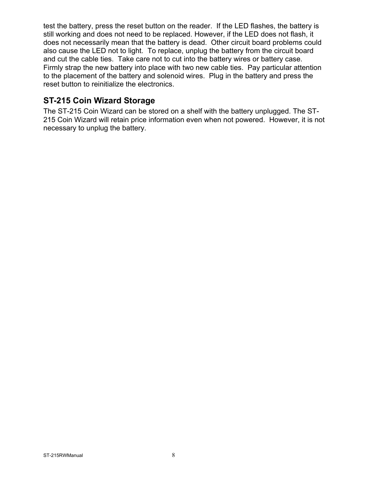test the battery, press the reset button on the reader. If the LED flashes, the battery is still working and does not need to be replaced. However, if the LED does not flash, it does not necessarily mean that the battery is dead. Other circuit board problems could also cause the LED not to light. To replace, unplug the battery from the circuit board and cut the cable ties. Take care not to cut into the battery wires or battery case. Firmly strap the new battery into place with two new cable ties. Pay particular attention to the placement of the battery and solenoid wires. Plug in the battery and press the reset button to reinitialize the electronics.

### **ST-215 Coin Wizard Storage**

The ST-215 Coin Wizard can be stored on a shelf with the battery unplugged. The ST-215 Coin Wizard will retain price information even when not powered. However, it is not necessary to unplug the battery.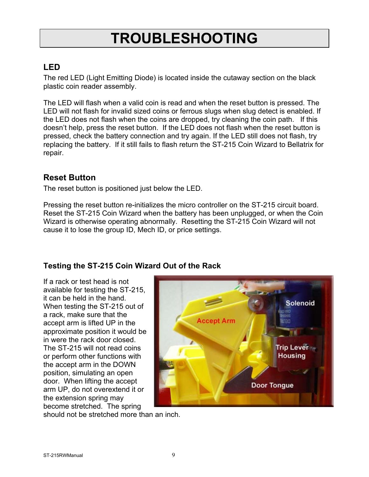# **TROUBLESHOOTING**

### **LED**

The red LED (Light Emitting Diode) is located inside the cutaway section on the black plastic coin reader assembly.

The LED will flash when a valid coin is read and when the reset button is pressed. The LED will not flash for invalid sized coins or ferrous slugs when slug detect is enabled. If the LED does not flash when the coins are dropped, try cleaning the coin path. If this doesn't help, press the reset button. If the LED does not flash when the reset button is pressed, check the battery connection and try again. If the LED still does not flash, try replacing the battery. If it still fails to flash return the ST-215 Coin Wizard to Bellatrix for repair.

### **Reset Button**

The reset button is positioned just below the LED.

Pressing the reset button re-initializes the micro controller on the ST-215 circuit board. Reset the ST-215 Coin Wizard when the battery has been unplugged, or when the Coin Wizard is otherwise operating abnormally. Resetting the ST-215 Coin Wizard will not cause it to lose the group ID, Mech ID, or price settings.

### **Testing the ST-215 Coin Wizard Out of the Rack**

If a rack or test head is not available for testing the ST-215, it can be held in the hand. When testing the ST-215 out of a rack, make sure that the accept arm is lifted UP in the approximate position it would be in were the rack door closed. The ST-215 will not read coins or perform other functions with the accept arm in the DOWN position, simulating an open door. When lifting the accept arm UP, do not overextend it or the extension spring may become stretched. The spring



should not be stretched more than an inch.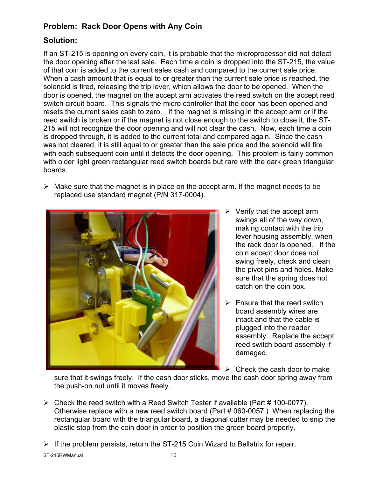### **Problem: Rack Door Opens with Any Coin**

### **Solution:**

If an ST-215 is opening on every coin, it is probable that the microprocessor did not detect the door opening after the last sale. Each time a coin is dropped into the ST-215, the value of that coin is added to the current sales cash and compared to the current sale price. When a cash amount that is equal to or greater than the current sale price is reached, the solenoid is fired, releasing the trip lever, which allows the door to be opened. When the door is opened, the magnet on the accept arm activates the reed switch on the accept reed switch circuit board. This signals the micro controller that the door has been opened and resets the current sales cash to zero. If the magnet is missing in the accept arm or if the reed switch is broken or if the magnet is not close enough to the switch to close it, the ST-215 will not recognize the door opening and will not clear the cash. Now, each time a coin is dropped through, it is added to the current total and compared again. Since the cash was not cleared, it is still equal to or greater than the sale price and the solenoid will fire with each subsequent coin until it detects the door opening. This problem is fairly common with older light green rectangular reed switch boards but rare with the dark green triangular boards.

 $\triangleright$  Make sure that the magnet is in place on the accept arm. If the magnet needs to be replaced use standard magnet (P/N 317-0004).



- $\triangleright$  Verify that the accept arm swings all of the way down, making contact with the trip lever housing assembly, when the rack door is opened. If the coin accept door does not swing freely, check and clean the pivot pins and holes. Make sure that the spring does not catch on the coin box.
- $\triangleright$  Ensure that the reed switch board assembly wires are intact and that the cable is plugged into the reader assembly. Replace the accept reed switch board assembly if damaged.
- $\triangleright$  Check the cash door to make

sure that it swings freely. If the cash door sticks, move the cash door spring away from the push-on nut until it moves freely.

- $\triangleright$  Check the reed switch with a Reed Switch Tester if available (Part # 100-0077). Otherwise replace with a new reed switch board (Part # 060-0057.) When replacing the rectangular board with the triangular board, a diagonal cutter may be needed to snip the plastic stop from the coin door in order to position the green board properly.
- $\triangleright$  If the problem persists, return the ST-215 Coin Wizard to Bellatrix for repair.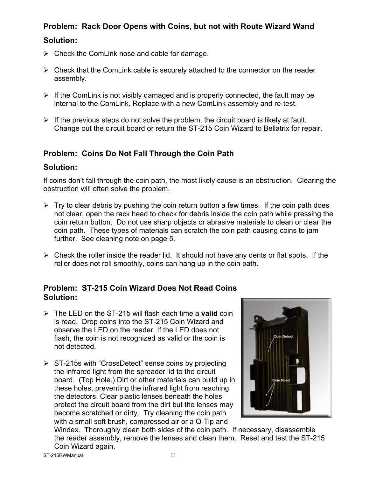### **Problem: Rack Door Opens with Coins, but not with Route Wizard Wand Solution:**

- $\triangleright$  Check the ComLink nose and cable for damage.
- $\triangleright$  Check that the ComLink cable is securely attached to the connector on the reader assembly.
- $\triangleright$  If the ComLink is not visibly damaged and is properly connected, the fault may be internal to the ComLink. Replace with a new ComLink assembly and re-test.
- $\triangleright$  If the previous steps do not solve the problem, the circuit board is likely at fault. Change out the circuit board or return the ST-215 Coin Wizard to Bellatrix for repair.

### **Problem: Coins Do Not Fall Through the Coin Path**

#### **Solution:**

If coins don't fall through the coin path, the most likely cause is an obstruction. Clearing the obstruction will often solve the problem.

- $\triangleright$  Try to clear debris by pushing the coin return button a few times. If the coin path does not clear, open the rack head to check for debris inside the coin path while pressing the coin return button. Do not use sharp objects or abrasive materials to clean or clear the coin path. These types of materials can scratch the coin path causing coins to jam further. See cleaning note on page 5.
- $\triangleright$  Check the roller inside the reader lid. It should not have any dents or flat spots. If the roller does not roll smoothly, coins can hang up in the coin path.

#### **Problem: ST-215 Coin Wizard Does Not Read Coins Solution:**

- ¾ The LED on the ST-215 will flash each time a **valid** coin is read. Drop coins into the ST-215 Coin Wizard and observe the LED on the reader. If the LED does not flash, the coin is not recognized as valid or the coin is not detected.
- $\triangleright$  ST-215s with "CrossDetect" sense coins by projecting the infrared light from the spreader lid to the circuit board. (Top Hole.) Dirt or other materials can build up in these holes, preventing the infrared light from reaching the detectors. Clear plastic lenses beneath the holes protect the circuit board from the dirt but the lenses may become scratched or dirty. Try cleaning the coin path with a small soft brush, compressed air or a Q-Tip and



Windex. Thoroughly clean both sides of the coin path. If necessary, disassemble the reader assembly, remove the lenses and clean them. Reset and test the ST-215 Coin Wizard again.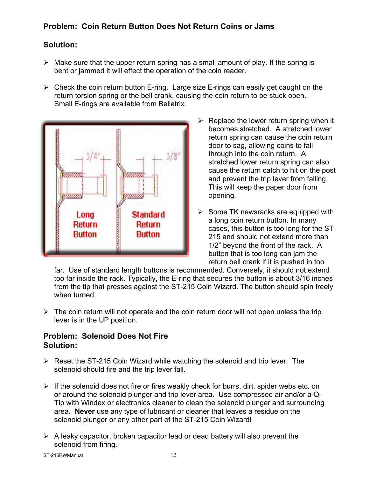### **Problem: Coin Return Button Does Not Return Coins or Jams**

### **Solution:**

- $\triangleright$  Make sure that the upper return spring has a small amount of play. If the spring is bent or jammed it will effect the operation of the coin reader.
- $\triangleright$  Check the coin return button E-ring. Large size E-rings can easily get caught on the return torsion spring or the bell crank, causing the coin return to be stuck open. Small E-rings are available from Bellatrix.



- $\triangleright$  Replace the lower return spring when it becomes stretched. A stretched lower return spring can cause the coin return door to sag, allowing coins to fall through into the coin return. A stretched lower return spring can also cause the return catch to hit on the post and prevent the trip lever from falling. This will keep the paper door from opening.
- $\triangleright$  Some TK newsracks are equipped with a long coin return button. In many cases, this button is too long for the ST-215 and should not extend more than 1/2" beyond the front of the rack. A button that is too long can jam the return bell crank if it is pushed in too

far. Use of standard length buttons is recommended. Conversely, it should not extend too far inside the rack. Typically, the E-ring that secures the button is about 3/16 inches from the tip that presses against the ST-215 Coin Wizard. The button should spin freely when turned.

 $\triangleright$  The coin return will not operate and the coin return door will not open unless the trip lever is in the UP position.

### **Problem: Solenoid Does Not Fire Solution:**

- $\triangleright$  Reset the ST-215 Coin Wizard while watching the solenoid and trip lever. The solenoid should fire and the trip lever fall.
- $\triangleright$  If the solenoid does not fire or fires weakly check for burrs, dirt, spider webs etc. on or around the solenoid plunger and trip lever area. Use compressed air and/or a Q-Tip with Windex or electronics cleaner to clean the solenoid plunger and surrounding area. **Never** use any type of lubricant or cleaner that leaves a residue on the solenoid plunger or any other part of the ST-215 Coin Wizard!
- $\triangleright$  A leaky capacitor, broken capacitor lead or dead battery will also prevent the solenoid from firing.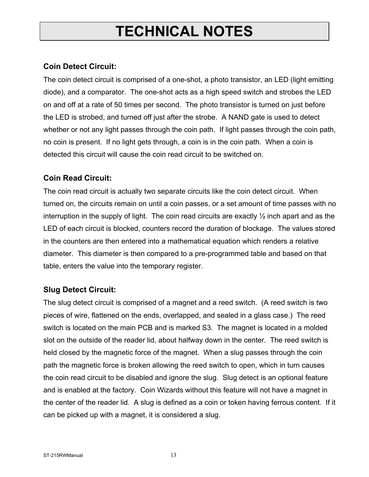## **TECHNICAL NOTES**

### **Coin Detect Circuit:**

The coin detect circuit is comprised of a one-shot, a photo transistor, an LED (light emitting diode), and a comparator. The one-shot acts as a high speed switch and strobes the LED on and off at a rate of 50 times per second. The photo transistor is turned on just before the LED is strobed, and turned off just after the strobe. A NAND gate is used to detect whether or not any light passes through the coin path. If light passes through the coin path, no coin is present. If no light gets through, a coin is in the coin path. When a coin is detected this circuit will cause the coin read circuit to be switched on.

### **Coin Read Circuit:**

The coin read circuit is actually two separate circuits like the coin detect circuit. When turned on, the circuits remain on until a coin passes, or a set amount of time passes with no interruption in the supply of light. The coin read circuits are exactly  $\frac{1}{2}$  inch apart and as the LED of each circuit is blocked, counters record the duration of blockage. The values stored in the counters are then entered into a mathematical equation which renders a relative diameter. This diameter is then compared to a pre-programmed table and based on that table, enters the value into the temporary register.

### **Slug Detect Circuit:**

The slug detect circuit is comprised of a magnet and a reed switch. (A reed switch is two pieces of wire, flattened on the ends, overlapped, and sealed in a glass case.) The reed switch is located on the main PCB and is marked S3. The magnet is located in a molded slot on the outside of the reader lid, about halfway down in the center. The reed switch is held closed by the magnetic force of the magnet. When a slug passes through the coin path the magnetic force is broken allowing the reed switch to open, which in turn causes the coin read circuit to be disabled and ignore the slug. Slug detect is an optional feature and is enabled at the factory. Coin Wizards without this feature will not have a magnet in the center of the reader lid. A slug is defined as a coin or token having ferrous content. If it can be picked up with a magnet, it is considered a slug.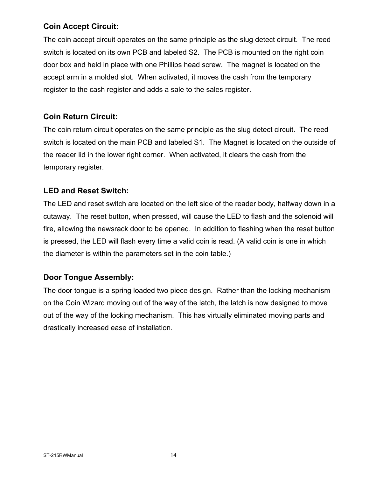### **Coin Accept Circuit:**

The coin accept circuit operates on the same principle as the slug detect circuit. The reed switch is located on its own PCB and labeled S2. The PCB is mounted on the right coin door box and held in place with one Phillips head screw. The magnet is located on the accept arm in a molded slot. When activated, it moves the cash from the temporary register to the cash register and adds a sale to the sales register.

### **Coin Return Circuit:**

The coin return circuit operates on the same principle as the slug detect circuit. The reed switch is located on the main PCB and labeled S1. The Magnet is located on the outside of the reader lid in the lower right corner. When activated, it clears the cash from the temporary register.

### **LED and Reset Switch:**

The LED and reset switch are located on the left side of the reader body, halfway down in a cutaway. The reset button, when pressed, will cause the LED to flash and the solenoid will fire, allowing the newsrack door to be opened. In addition to flashing when the reset button is pressed, the LED will flash every time a valid coin is read. (A valid coin is one in which the diameter is within the parameters set in the coin table.)

### **Door Tongue Assembly:**

The door tongue is a spring loaded two piece design. Rather than the locking mechanism on the Coin Wizard moving out of the way of the latch, the latch is now designed to move out of the way of the locking mechanism. This has virtually eliminated moving parts and drastically increased ease of installation.